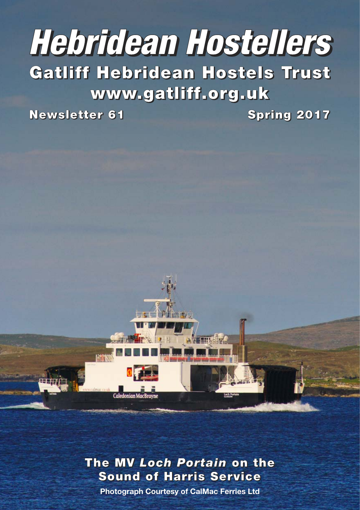# **Hebridean Hostellers**

**Gatliff Hebridean Hostels Trust www.gatliff.org.uk**

**Newsletter 61 Spring 2017**

**The MV** *Loch Portain* **on the Sound of Harris Service**

**Photograph Courtesy of CalMac Ferries Ltd**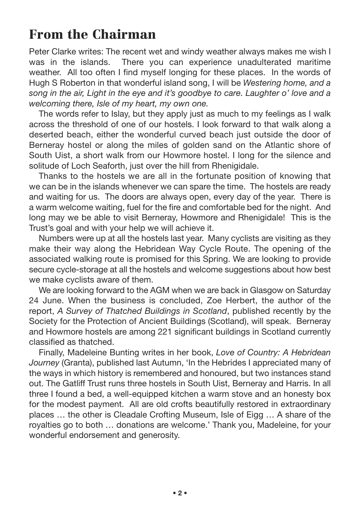## **From the Chairman**

Peter Clarke writes: The recent wet and windy weather always makes me wish I was in the islands. There you can experience unadulterated maritime weather. All too often I find myself longing for these places. In the words of Hugh S Roberton in that wonderful island song, I will be *Westering home, and a song in the air, Light in the eye and it's goodbye to care. Laughter o' love and a welcoming there, Isle of my heart, my own one.*

The words refer to Islay, but they apply just as much to my feelings as I walk across the threshold of one of our hostels. I look forward to that walk along a deserted beach, either the wonderful curved beach just outside the door of Berneray hostel or along the miles of golden sand on the Atlantic shore of South Uist, a short walk from our Howmore hostel. I long for the silence and solitude of Loch Seaforth, just over the hill from Rhenigidale.

Thanks to the hostels we are all in the fortunate position of knowing that we can be in the islands whenever we can spare the time. The hostels are ready and waiting for us. The doors are always open, every day of the year. There is a warm welcome waiting, fuel for the fire and comfortable bed for the night. And long may we be able to visit Berneray, Howmore and Rhenigidale! This is the Trust's goal and with your help we will achieve it.

Numbers were up at all the hostels last year. Many cyclists are visiting as they make their way along the Hebridean Way Cycle Route. The opening of the associated walking route is promised for this Spring. We are looking to provide secure cycle-storage at all the hostels and welcome suggestions about how best we make cyclists aware of them.

We are looking forward to the AGM when we are back in Glasgow on Saturday 24 June. When the business is concluded, Zoe Herbert, the author of the report, *A Survey of Thatched Buildings in Scotland*, published recently by the Society for the Protection of Ancient Buildings (Scotland), will speak. Berneray and Howmore hostels are among 221 significant buildings in Scotland currently classified as thatched.

Finally, Madeleine Bunting writes in her book, *Love of Country: A Hebridean Journey* (Granta), published last Autumn, 'In the Hebrides I appreciated many of the ways in which history is remembered and honoured, but two instances stand out. The Gatliff Trust runs three hostels in South Uist, Berneray and Harris. In all three I found a bed, a well-equipped kitchen a warm stove and an honesty box for the modest payment. All are old crofts beautifully restored in extraordinary places … the other is Cleadale Crofting Museum, Isle of Eigg … A share of the royalties go to both … donations are welcome.' Thank you, Madeleine, for your wonderful endorsement and generosity.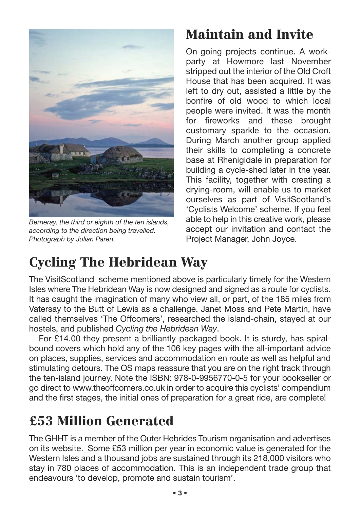

*Berneray, the third or eighth of the ten islands, according to the direction being travelled. Photograph by Julian Paren.*

# **Maintain and Invite**

On-going projects continue. A workparty at Howmore last November stripped out the interior of the Old Croft House that has been acquired. It was left to dry out, assisted a little by the bonfire of old wood to which local people were invited. It was the month for fireworks and these brought customary sparkle to the occasion. During March another group applied their skills to completing a concrete base at Rhenigidale in preparation for building a cycle-shed later in the year. This facility, together with creating a drying-room, will enable us to market ourselves as part of VisitScotland's 'Cyclists Welcome' scheme. If you feel able to help in this creative work, please accept our invitation and contact the Project Manager, John Joyce.

# **Cycling The Hebridean Way**

The VisitScotland scheme mentioned above is particularly timely for the Western Isles where The Hebridean Way is now designed and signed as a route for cyclists. It has caught the imagination of many who view all, or part, of the 185 miles from Vatersay to the Butt of Lewis as a challenge. Janet Moss and Pete Martin, have called themselves 'The Offcomers', researched the island-chain, stayed at our hostels, and published *Cycling the Hebridean Way*.

For £14.00 they present a brilliantly-packaged book. It is sturdy, has spiralbound covers which hold any of the 106 key pages with the all-important advice on places, supplies, services and accommodation en route as well as helpful and stimulating detours. The OS maps reassure that you are on the right track through the ten-island journey. Note the ISBN: 978-0-9956770-0-5 for your bookseller or go direct to www.theoffcomers.co.uk in order to acquire this cyclists' compendium and the first stages, the initial ones of preparation for a great ride, are complete!

# **£53 Million Generated**

The GHHT is a member of the Outer Hebrides Tourism organisation and advertises on its website. Some £53 million per year in economic value is generated for the Western Isles and a thousand jobs are sustained through its 218,000 visitors who stay in 780 places of accommodation. This is an independent trade group that endeavours 'to develop, promote and sustain tourism'.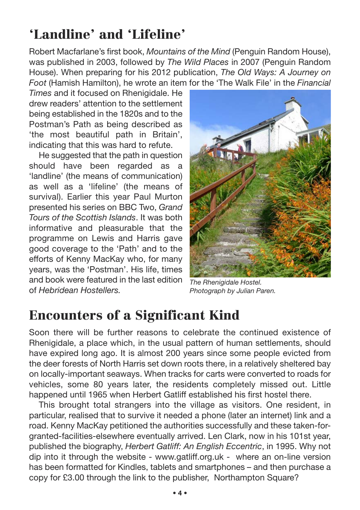# **'Landline' and 'Lifeline'**

Robert Macfarlane's first book, *Mountains of the Mind* (Penguin Random House), was published in 2003, followed by *The Wild Places* in 2007 (Penguin Random House). When preparing for his 2012 publication, *The Old Ways: A Journey on Foot* (Hamish Hamilton), he wrote an item for the 'The Walk File' in the *Financial*

*Times* and it focused on Rhenigidale. He drew readers' attention to the settlement being established in the 1820s and to the Postman's Path as being described as 'the most beautiful path in Britain', indicating that this was hard to refute.

He suggested that the path in question should have been regarded as a 'landline' (the means of communication) as well as a 'lifeline' (the means of survival). Earlier this year Paul Murton presented his series on BBC Two, *Grand Tours of the Scottish Islands*. It was both informative and pleasurable that the programme on Lewis and Harris gave good coverage to the 'Path' and to the efforts of Kenny MacKay who, for many years, was the 'Postman'. His life, times and book were featured in the last edition of *Hebridean Hostellers.*



*The Rhenigidale Hostel. Photograph by Julian Paren.*

# **Encounters of a Significant Kind**

Soon there will be further reasons to celebrate the continued existence of Rhenigidale, a place which, in the usual pattern of human settlements, should have expired long ago. It is almost 200 years since some people evicted from the deer forests of North Harris set down roots there, in a relatively sheltered bay on locally-important seaways. When tracks for carts were converted to roads for vehicles, some 80 years later, the residents completely missed out. Little happened until 1965 when Herbert Gatliff established his first hostel there.

This brought total strangers into the village as visitors. One resident, in particular, realised that to survive it needed a phone (later an internet) link and a road. Kenny MacKay petitioned the authorities successfully and these taken-forgranted-facilities-elsewhere eventually arrived. Len Clark, now in his 101st year, published the biography, *Herbert Gatliff: An English Eccentric*, in 1995. Why not dip into it through the website - www.gatliff.org.uk - where an on-line version has been formatted for Kindles, tablets and smartphones – and then purchase a copy for £3.00 through the link to the publisher, Northampton Square?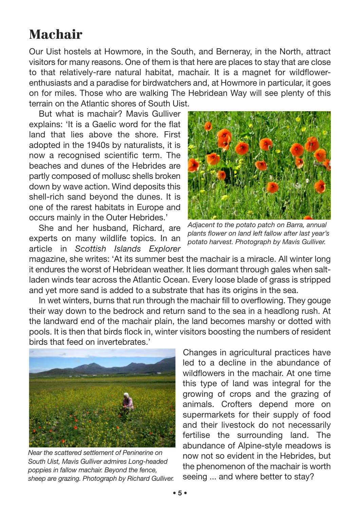## **Machair**

Our Uist hostels at Howmore, in the South, and Berneray, in the North, attract visitors for many reasons. One of them is that here are places to stay that are close to that relatively-rare natural habitat, machair. It is a magnet for wildflowerenthusiasts and a paradise for birdwatchers and, at Howmore in particular, it goes on for miles. Those who are walking The Hebridean Way will see plenty of this terrain on the Atlantic shores of South Uist.

But what is machair? Mavis Gulliver explains: 'It is a Gaelic word for the flat land that lies above the shore. First adopted in the 1940s by naturalists, it is now a recognised scientific term. The beaches and dunes of the Hebrides are partly composed of mollusc shells broken down by wave action. Wind deposits this shell-rich sand beyond the dunes. It is one of the rarest habitats in Europe and occurs mainly in the Outer Hebrides.'

She and her husband, Richard, are experts on many wildlife topics. In an article in *Scottish Islands Explorer*



*Adjacent to the potato patch on Barra, annual plants flower on land left fallow after last year's potato harvest. Photograph by Mavis Gulliver.*

magazine, she writes: 'At its summer best the machair is a miracle. All winter long it endures the worst of Hebridean weather. It lies dormant through gales when saltladen winds tear across the Atlantic Ocean. Every loose blade of grass is stripped and yet more sand is added to a substrate that has its origins in the sea.

In wet winters, burns that run through the machair fill to overflowing. They gouge their way down to the bedrock and return sand to the sea in a headlong rush. At the landward end of the machair plain, the land becomes marshy or dotted with pools. It is then that birds flock in, winter visitors boosting the numbers of resident birds that feed on invertebrates.'



*Near the scattered settlement of Peninerine on South Uist, Mavis Gulliver admires Long-headed poppies in fallow machair. Beyond the fence, sheep are grazing. Photograph by Richard Gulliver.*

Changes in agricultural practices have led to a decline in the abundance of wildflowers in the machair. At one time this type of land was integral for the growing of crops and the grazing of animals. Crofters depend more on supermarkets for their supply of food and their livestock do not necessarily fertilise the surrounding land. The abundance of Alpine-style meadows is now not so evident in the Hebrides, but the phenomenon of the machair is worth seeing ... and where better to stay?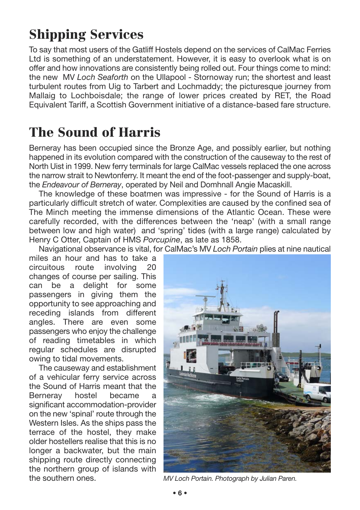# **Shipping Services**

To say that most users of the Gatliff Hostels depend on the services of CalMac Ferries Ltd is something of an understatement. However, it is easy to overlook what is on offer and how innovations are consistently being rolled out. Four things come to mind: the new MV *Loch Seaforth* on the Ullapool - Stornoway run; the shortest and least turbulent routes from Uig to Tarbert and Lochmaddy; the picturesque journey from Mallaig to Lochboisdale; the range of lower prices created by RET, the Road Equivalent Tariff, a Scottish Government initiative of a distance-based fare structure.

## **The Sound of Harris**

Berneray has been occupied since the Bronze Age, and possibly earlier, but nothing happened in its evolution compared with the construction of the causeway to the rest of North Uist in 1999. New ferry terminals for large CalMac vessels replaced the one across the narrow strait to Newtonferry. It meant the end of the foot-passenger and supply-boat, the *Endeavour of Berneray*, operated by Neil and Domhnall Angie Macaskill.

The knowledge of these boatmen was impressive - for the Sound of Harris is a particularly difficult stretch of water. Complexities are caused by the confined sea of The Minch meeting the immense dimensions of the Atlantic Ocean. These were carefully recorded, with the differences between the 'neap' (with a small range between low and high water) and 'spring' tides (with a large range) calculated by Henry C Otter, Captain of HMS *Porcupine*, as late as 1858.

Navigational observance is vital, for CalMac's MV *Loch Portain* plies at nine nautical

miles an hour and has to take a circuitous route involving 20 changes of course per sailing. This can be a delight for some passengers in giving them the opportunity to see approaching and receding islands from different angles. There are even some passengers who enjoy the challenge of reading timetables in which regular schedules are disrupted owing to tidal movements.

The causeway and establishment of a vehicular ferry service across the Sound of Harris meant that the Berneray hostel became a significant accommodation-provider on the new 'spinal' route through the Western Isles. As the ships pass the terrace of the hostel, they make older hostellers realise that this is no longer a backwater, but the main shipping route directly connecting the northern group of islands with the southern ones. *MV Loch Portain. Photograph by Julian Paren.*

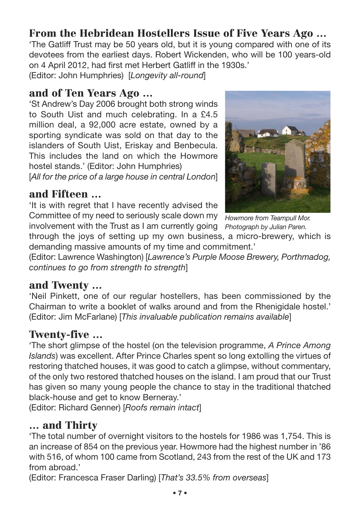## **From the Hebridean Hostellers Issue of Five Years Ago …**

'The Gatliff Trust may be 50 years old, but it is young compared with one of its devotees from the earliest days. Robert Wickenden, who will be 100 years-old on 4 April 2012, had first met Herbert Gatliff in the 1930s.'

(Editor: John Humphries) [*Longevity all-round*]

#### **and of Ten Years Ago …**

'St Andrew's Day 2006 brought both strong winds to South Uist and much celebrating. In a £4.5 million deal, a 92,000 acre estate, owned by a sporting syndicate was sold on that day to the islanders of South Uist, Eriskay and Benbecula. This includes the land on which the Howmore hostel stands.' (Editor: John Humphries) [*All for the price of a large house in central London*]

#### **and Fifteen …**

'It is with regret that I have recently advised the Committee of my need to seriously scale down my *Howmore from Teampull Mor.*  involvement with the Trust as I am currently going *Photograph by Julian Paren.*



through the joys of setting up my own business, a micro-brewery, which is demanding massive amounts of my time and commitment.'

(Editor: Lawrence Washington) [*Lawrence's Purple Moose Brewery, Porthmadog, continues to go from strength to strength*]

### **and Twenty …**

'Neil Pinkett, one of our regular hostellers, has been commissioned by the Chairman to write a booklet of walks around and from the Rhenigidale hostel.' (Editor: Jim McFarlane) [*This invaluable publication remains available*]

### **Twenty-five …**

'The short glimpse of the hostel (on the television programme, *A Prince Among Islands*) was excellent. After Prince Charles spent so long extolling the virtues of restoring thatched houses, it was good to catch a glimpse, without commentary, of the only two restored thatched houses on the island. I am proud that our Trust has given so many young people the chance to stay in the traditional thatched black-house and get to know Berneray.'

(Editor: Richard Genner) [*Roofs remain intact*]

#### **… and Thirty**

'The total number of overnight visitors to the hostels for 1986 was 1,754. This is an increase of 854 on the previous year. Howmore had the highest number in '86 with 516, of whom 100 came from Scotland, 243 from the rest of the UK and 173 from abroad.'

(Editor: Francesca Fraser Darling) [*That's 33.5% from overseas*]